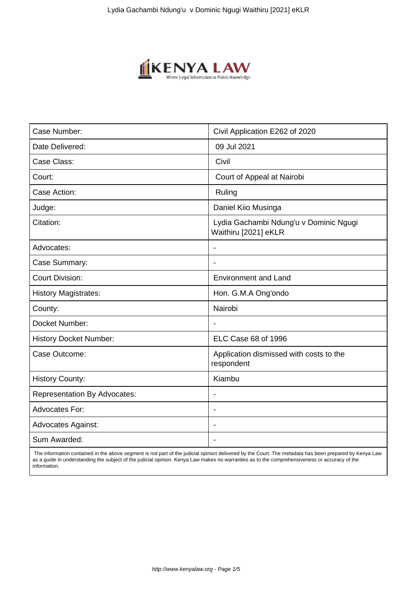

| Case Number:                        | Civil Application E262 of 2020                                 |
|-------------------------------------|----------------------------------------------------------------|
| Date Delivered:                     | 09 Jul 2021                                                    |
| Case Class:                         | Civil                                                          |
| Court:                              | Court of Appeal at Nairobi                                     |
| Case Action:                        | Ruling                                                         |
| Judge:                              | Daniel Kiio Musinga                                            |
| Citation:                           | Lydia Gachambi Ndung'u v Dominic Ngugi<br>Waithiru [2021] eKLR |
| Advocates:                          |                                                                |
| Case Summary:                       | $\blacksquare$                                                 |
| <b>Court Division:</b>              | <b>Environment and Land</b>                                    |
| <b>History Magistrates:</b>         | Hon. G.M.A Ong'ondo                                            |
| County:                             | Nairobi                                                        |
| Docket Number:                      | $\overline{\phantom{a}}$                                       |
| <b>History Docket Number:</b>       | ELC Case 68 of 1996                                            |
| Case Outcome:                       | Application dismissed with costs to the<br>respondent          |
| <b>History County:</b>              | Kiambu                                                         |
| <b>Representation By Advocates:</b> | $\blacksquare$                                                 |
| <b>Advocates For:</b>               | $\blacksquare$                                                 |
| <b>Advocates Against:</b>           |                                                                |
| Sum Awarded:                        |                                                                |

 The information contained in the above segment is not part of the judicial opinion delivered by the Court. The metadata has been prepared by Kenya Law as a guide in understanding the subject of the judicial opinion. Kenya Law makes no warranties as to the comprehensiveness or accuracy of the information.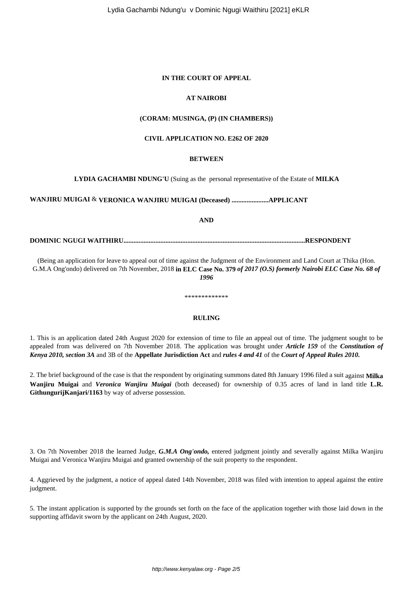#### **IN THE COURT OF APPEAL**

#### **AT NAIROBI**

#### **(CORAM: MUSINGA, (P) (IN CHAMBERS))**

#### **CIVIL APPLICATION NO. E262 OF 2020**

#### **BETWEEN**

#### **LYDIA GACHAMBI NDUNG'U** (Suing as the personal representative of the Estate of **MILKA**

## **WANJIRU MUIGAI** & **VERONICA WANJIRU MUIGAI (Deceased) ......................APPLICANT**

**AND**

#### **DOMINIC NGUGI WAITHIRU............................................................................................................RESPONDENT**

(Being an application for leave to appeal out of time against the Judgment of the Environment and Land Court at Thika (Hon. G.M.A Ong'ondo) delivered on 7th November, 2018 **in ELC Case No. 379** *of 2017 (O.S) formerly Nairobi ELC Case No. 68 of 1996*

### **RULING**

\*\*\*\*\*\*\*\*\*\*\*\*\*

1. This is an application dated 24th August 2020 for extension of time to file an appeal out of time. The judgment sought to be appealed from was delivered on 7th November 2018. The application was brought under *Article 159* of the *Constitution of Kenya 2010, section 3A* and 3B of the **Appellate Jurisdiction Act** and *rules 4 and 41* of the *Court of Appeal Rules 2010.*

2. The brief background of the case is that the respondent by originating summons dated 8th January 1996 filed a suit against **Milka Wanjiru Muigai** and *Veronica Wanjiru Muigai* (both deceased) for ownership of 0.35 acres of land in land title **L.R. GithungurijKanjari/1163** by way of adverse possession.

3. On 7th November 2018 the learned Judge, *G.M.A Ong'ondo,* entered judgment jointly and severally against Milka Wanjiru Muigai and Veronica Wanjiru Muigai and granted ownership of the suit property to the respondent.

4. Aggrieved by the judgment, a notice of appeal dated 14th November, 2018 was filed with intention to appeal against the entire judgment.

5. The instant application is supported by the grounds set forth on the face of the application together with those laid down in the supporting affidavit sworn by the applicant on 24th August, 2020.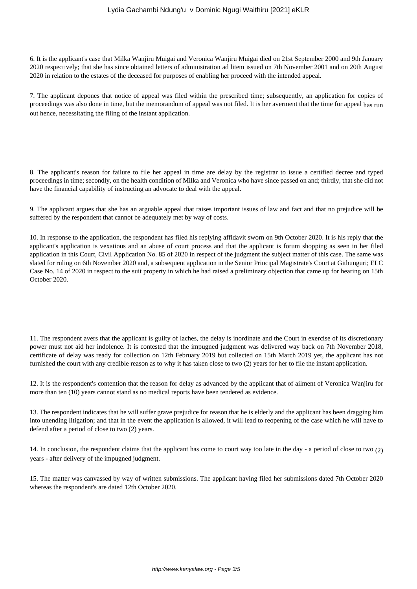#### Lydia Gachambi Ndung'u v Dominic Ngugi Waithiru [2021] eKLR

6. It is the applicant's case that Milka Wanjiru Muigai and Veronica Wanjiru Muigai died on 21st September 2000 and 9th January 2020 respectively; that she has since obtained letters of administration ad litem issued on 7th November 2001 and on 20th August 2020 in relation to the estates of the deceased for purposes of enabling her proceed with the intended appeal.

7. The applicant depones that notice of appeal was filed within the prescribed time; subsequently, an application for copies of proceedings was also done in time, but the memorandum of appeal was not filed. It is her averment that the time for appeal has run out hence, necessitating the filing of the instant application.

8. The applicant's reason for failure to file her appeal in time are delay by the registrar to issue a certified decree and typed proceedings in time; secondly, on the health condition of Milka and Veronica who have since passed on and; thirdly, that she did not have the financial capability of instructing an advocate to deal with the appeal.

9. The applicant argues that she has an arguable appeal that raises important issues of law and fact and that no prejudice will be suffered by the respondent that cannot be adequately met by way of costs.

10. In response to the application, the respondent has filed his replying affidavit sworn on 9th October 2020. It is his reply that the applicant's application is vexatious and an abuse of court process and that the applicant is forum shopping as seen in her filed application in this Court, Civil Application No. 85 of 2020 in respect of the judgment the subject matter of this case. The same was slated for ruling on 6th November 2020 and, a subsequent application in the Senior Principal Magistrate's Court at Githunguri; ELC Case No. 14 of 2020 in respect to the suit property in which he had raised a preliminary objection that came up for hearing on 15th October 2020.

11. The respondent avers that the applicant is guilty of laches, the delay is inordinate and the Court in exercise of its discretionary power must not aid her indolence. It is contested that the impugned judgment was delivered way back on 7th November 2018, certificate of delay was ready for collection on 12th February 2019 but collected on 15th March 2019 yet, the applicant has not furnished the court with any credible reason as to why it has taken close to two (2) years for her to file the instant application.

12. It is the respondent's contention that the reason for delay as advanced by the applicant that of ailment of Veronica Wanjiru for more than ten (10) years cannot stand as no medical reports have been tendered as evidence.

13. The respondent indicates that he will suffer grave prejudice for reason that he is elderly and the applicant has been dragging him into unending litigation; and that in the event the application is allowed, it will lead to reopening of the case which he will have to defend after a period of close to two (2) years.

14. In conclusion, the respondent claims that the applicant has come to court way too late in the day - a period of close to two (2) years - after delivery of the impugned judgment.

15. The matter was canvassed by way of written submissions. The applicant having filed her submissions dated 7th October 2020 whereas the respondent's are dated 12th October 2020.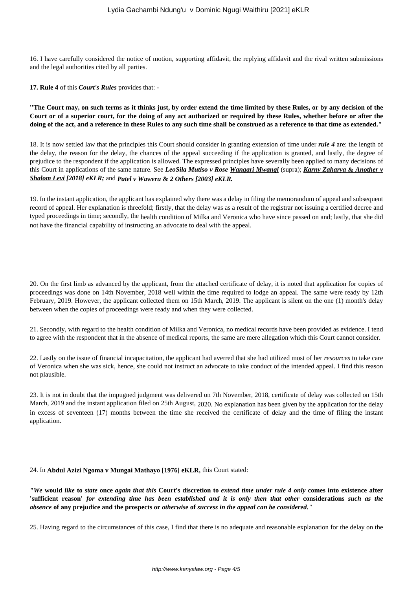16. I have carefully considered the notice of motion, supporting affidavit, the replying affidavit and the rival written submissions and the legal authorities cited by all parties.

**17. Rule 4** of this *Court's Rules* provides that: -

**''The Court may, on such terms as it thinks just, by order extend the time limited by these Rules, or by any decision of the Court or of a superior court, for the doing of any act authorized or required by these Rules, whether before or after the doing of the act, and a reference in these Rules to any such time shall be construed as a reference to that time as extended."**

18. It is now settled law that the principles this Court should consider in granting extension of time under *rule 4* are: the length of the delay, the reason for the delay, the chances of the appeal succeeding if the application is granted, and lastly, the degree of prejudice to the respondent if the application is allowed. The expressed principles have severally been applied to many decisions of this Court in applications of the same nature. See *LeoSila Mutiso v Rose Wangari Mwangi* (supra); *Karny Zaharya* **&** *Another v Shalom Levi [2018] eKLR;* and *Patel v Waweru* **&** *2 Others [2003] eKLR.*

19. In the instant application, the applicant has explained why there was a delay in filing the memorandum of appeal and subsequent record of appeal. Her explanation is threefold; firstly, that the delay was as a result of the registrar not issuing a certified decree and typed proceedings in time; secondly, the health condition of Milka and Veronica who have since passed on and; lastly, that she did not have the financial capability of instructing an advocate to deal with the appeal.

20. On the first limb as advanced by the applicant, from the attached certificate of delay, it is noted that application for copies of proceedings was done on 14th November, 2018 well within the time required to lodge an appeal. The same were ready by 12th February, 2019. However, the applicant collected them on 15th March, 2019. The applicant is silent on the one (1) month's delay between when the copies of proceedings were ready and when they were collected.

21. Secondly, with regard to the health condition of Milka and Veronica, no medical records have been provided as evidence. I tend to agree with the respondent that in the absence of medical reports, the same are mere allegation which this Court cannot consider.

22. Lastly on the issue of financial incapacitation, the applicant had averred that she had utilized most of her *resources* to take care of Veronica when she was sick, hence, she could not instruct an advocate to take conduct of the intended appeal. I find this reason not plausible.

23. It is not in doubt that the impugned judgment was delivered on 7th November, 2018, certificate of delay was collected on 15th March, 2019 and the instant application filed on 25th August, 2020. No explanation has been given by the application for the delay in excess of seventeen (17) months between the time she received the certificate of delay and the time of filing the instant application.

#### 24. In **Abdul Azizi Ngoma v Mungai Mathayo [1976] eKLR,** this Court stated:

*"We* **would** *like* **to** *state* **once** *again that this* **Court's discretion to** *extend time under rule 4 only* **comes into existence after 'sufficient reason'** *for extending time has been established and it is only then that other* **considerations** *such as the absence* **of any prejudice and the prospects or** *otherwise* **of** *success in the appeal can be considered."*

25. Having regard to the circumstances of this case, I find that there is no adequate and reasonable explanation for the delay on the